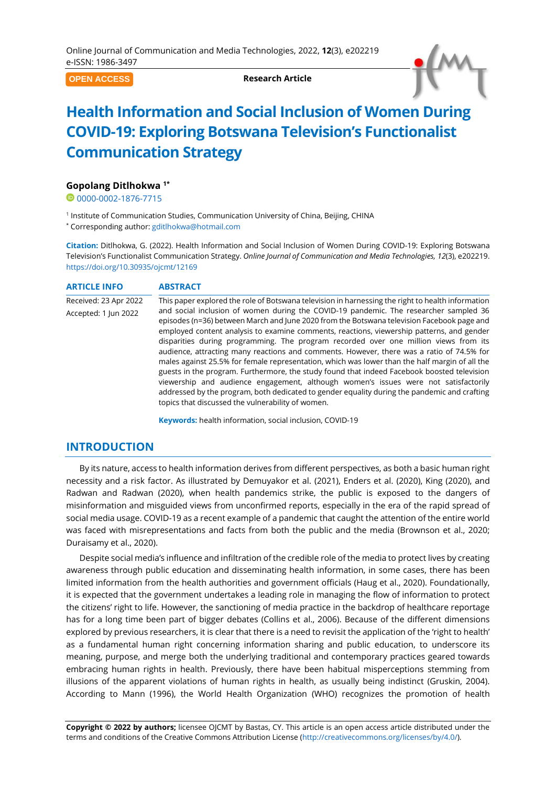**OPEN ACCESS**

**Research Article**



# **Health Information and Social Inclusion of Women During COVID-19: Exploring Botswana Television's Functionalist Communication Strategy**

#### **Gopolang Ditlhokwa 1\***

<sup>0</sup>[0000-0002-1876-7715](https://orcid.org/0000-0002-1876-7715)

<sup>1</sup> Institute of Communication Studies, Communication University of China, Beijing, CHINA

\* Corresponding author: [gditlhokwa@hotmail.com](mailto:gditlhokwa@hotmail.com)

**Citation:** Ditlhokwa, G. (2022). Health Information and Social Inclusion of Women During COVID-19: Exploring Botswana Television's Functionalist Communication Strategy. *Online Journal of Communication and Media Technologies, 12*(3), e202219. <https://doi.org/10.30935/ojcmt/12169>

#### **ARTICLE INFO ABSTRACT**

Received: 23 Apr 2022 Accepted: 1 Jun 2022 This paper explored the role of Botswana television in harnessing the right to health information and social inclusion of women during the COVID-19 pandemic. The researcher sampled 36 episodes (n=36) between March and June 2020 from the Botswana television Facebook page and employed content analysis to examine comments, reactions, viewership patterns, and gender disparities during programming. The program recorded over one million views from its audience, attracting many reactions and comments. However, there was a ratio of 74.5% for males against 25.5% for female representation, which was lower than the half margin of all the guests in the program. Furthermore, the study found that indeed Facebook boosted television viewership and audience engagement, although women's issues were not satisfactorily addressed by the program, both dedicated to gender equality during the pandemic and crafting topics that discussed the vulnerability of women.

**Keywords:** health information, social inclusion, COVID-19

## **INTRODUCTION**

By its nature, access to health information derives from different perspectives, as both a basic human right necessity and a risk factor. As illustrated by Demuyakor et al. (2021), Enders et al. (2020), King (2020), and Radwan and Radwan (2020), when health pandemics strike, the public is exposed to the dangers of misinformation and misguided views from unconfirmed reports, especially in the era of the rapid spread of social media usage. COVID-19 as a recent example of a pandemic that caught the attention of the entire world was faced with misrepresentations and facts from both the public and the media (Brownson et al., 2020; Duraisamy et al., 2020).

Despite social media's influence and infiltration of the credible role of the media to protect lives by creating awareness through public education and disseminating health information, in some cases, there has been limited information from the health authorities and government officials (Haug et al., 2020). Foundationally, it is expected that the government undertakes a leading role in managing the flow of information to protect the citizens' right to life. However, the sanctioning of media practice in the backdrop of healthcare reportage has for a long time been part of bigger debates (Collins et al., 2006). Because of the different dimensions explored by previous researchers, it is clear that there is a need to revisit the application of the 'right to health' as a fundamental human right concerning information sharing and public education, to underscore its meaning, purpose, and merge both the underlying traditional and contemporary practices geared towards embracing human rights in health. Previously, there have been habitual misperceptions stemming from illusions of the apparent violations of human rights in health, as usually being indistinct (Gruskin, 2004). According to Mann (1996), the World Health Organization (WHO) recognizes the promotion of health

**Copyright © 2022 by authors;** licensee OJCMT by Bastas, CY. This article is an open access article distributed under the terms and conditions of the Creative Commons Attribution License [\(http://creativecommons.org/licenses/by/4.0/\)](http://creativecommons.org/licenses/by/4.0/).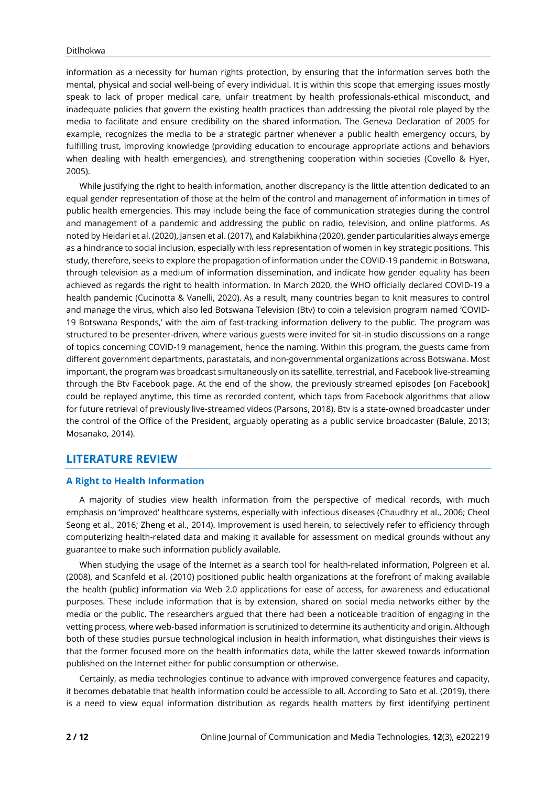information as a necessity for human rights protection, by ensuring that the information serves both the mental, physical and social well-being of every individual. It is within this scope that emerging issues mostly speak to lack of proper medical care, unfair treatment by health professionals-ethical misconduct, and inadequate policies that govern the existing health practices than addressing the pivotal role played by the media to facilitate and ensure credibility on the shared information. The Geneva Declaration of 2005 for example, recognizes the media to be a strategic partner whenever a public health emergency occurs, by fulfilling trust, improving knowledge (providing education to encourage appropriate actions and behaviors when dealing with health emergencies), and strengthening cooperation within societies (Covello & Hyer, 2005).

While justifying the right to health information, another discrepancy is the little attention dedicated to an equal gender representation of those at the helm of the control and management of information in times of public health emergencies. This may include being the face of communication strategies during the control and management of a pandemic and addressing the public on radio, television, and online platforms. As noted by Heidari et al. (2020), Jansen et al. (2017), and Kalabikhina (2020), gender particularities always emerge as a hindrance to social inclusion, especially with less representation of women in key strategic positions. This study, therefore, seeks to explore the propagation of information under the COVID-19 pandemic in Botswana, through television as a medium of information dissemination, and indicate how gender equality has been achieved as regards the right to health information. In March 2020, the WHO officially declared COVID-19 a health pandemic (Cucinotta & Vanelli, 2020). As a result, many countries began to knit measures to control and manage the virus, which also led Botswana Television (Btv) to coin a television program named 'COVID-19 Botswana Responds,' with the aim of fast-tracking information delivery to the public. The program was structured to be presenter-driven, where various guests were invited for sit-in studio discussions on a range of topics concerning COVID-19 management, hence the naming. Within this program, the guests came from different government departments, parastatals, and non-governmental organizations across Botswana. Most important, the program was broadcast simultaneously on its satellite, terrestrial, and Facebook live-streaming through the Btv Facebook page. At the end of the show, the previously streamed episodes [on Facebook] could be replayed anytime, this time as recorded content, which taps from Facebook algorithms that allow for future retrieval of previously live-streamed videos (Parsons, 2018). Btv is a state-owned broadcaster under the control of the Office of the President, arguably operating as a public service broadcaster (Balule, 2013; Mosanako, 2014).

## **LITERATURE REVIEW**

#### **A Right to Health Information**

A majority of studies view health information from the perspective of medical records, with much emphasis on 'improved' healthcare systems, especially with infectious diseases (Chaudhry et al., 2006; Cheol Seong et al., 2016; Zheng et al., 2014). Improvement is used herein, to selectively refer to efficiency through computerizing health-related data and making it available for assessment on medical grounds without any guarantee to make such information publicly available.

When studying the usage of the Internet as a search tool for health-related information, Polgreen et al. (2008), and Scanfeld et al. (2010) positioned public health organizations at the forefront of making available the health (public) information via Web 2.0 applications for ease of access, for awareness and educational purposes. These include information that is by extension, shared on social media networks either by the media or the public. The researchers argued that there had been a noticeable tradition of engaging in the vetting process, where web-based information is scrutinized to determine its authenticity and origin. Although both of these studies pursue technological inclusion in health information, what distinguishes their views is that the former focused more on the health informatics data, while the latter skewed towards information published on the Internet either for public consumption or otherwise.

Certainly, as media technologies continue to advance with improved convergence features and capacity, it becomes debatable that health information could be accessible to all. According to Sato et al. (2019), there is a need to view equal information distribution as regards health matters by first identifying pertinent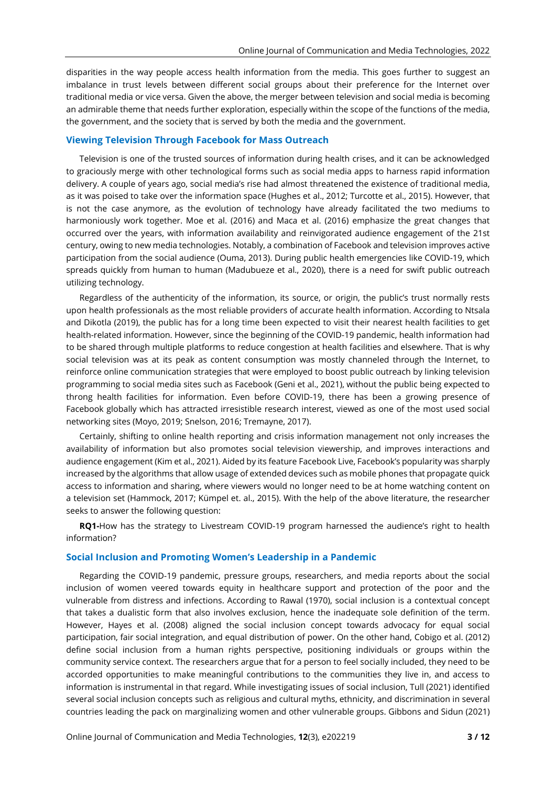disparities in the way people access health information from the media. This goes further to suggest an imbalance in trust levels between different social groups about their preference for the Internet over traditional media or vice versa. Given the above, the merger between television and social media is becoming an admirable theme that needs further exploration, especially within the scope of the functions of the media, the government, and the society that is served by both the media and the government.

#### **Viewing Television Through Facebook for Mass Outreach**

Television is one of the trusted sources of information during health crises, and it can be acknowledged to graciously merge with other technological forms such as social media apps to harness rapid information delivery. A couple of years ago, social media's rise had almost threatened the existence of traditional media, as it was poised to take over the information space (Hughes et al., 2012; Turcotte et al., 2015). However, that is not the case anymore, as the evolution of technology have already facilitated the two mediums to harmoniously work together. Moe et al. (2016) and Maca et al. (2016) emphasize the great changes that occurred over the years, with information availability and reinvigorated audience engagement of the 21st century, owing to new media technologies. Notably, a combination of Facebook and television improves active participation from the social audience (Ouma, 2013). During public health emergencies like COVID-19, which spreads quickly from human to human (Madubueze et al., 2020), there is a need for swift public outreach utilizing technology.

Regardless of the authenticity of the information, its source, or origin, the public's trust normally rests upon health professionals as the most reliable providers of accurate health information. According to Ntsala and Dikotla (2019), the public has for a long time been expected to visit their nearest health facilities to get health-related information. However, since the beginning of the COVID-19 pandemic, health information had to be shared through multiple platforms to reduce congestion at health facilities and elsewhere. That is why social television was at its peak as content consumption was mostly channeled through the Internet, to reinforce online communication strategies that were employed to boost public outreach by linking television programming to social media sites such as Facebook (Geni et al., 2021), without the public being expected to throng health facilities for information. Even before COVID-19, there has been a growing presence of Facebook globally which has attracted irresistible research interest, viewed as one of the most used social networking sites (Moyo, 2019; Snelson, 2016; Tremayne, 2017).

Certainly, shifting to online health reporting and crisis information management not only increases the availability of information but also promotes social television viewership, and improves interactions and audience engagement (Kim et al., 2021). Aided by its feature Facebook Live, Facebook's popularity was sharply increased by the algorithms that allow usage of extended devices such as mobile phones that propagate quick access to information and sharing, where viewers would no longer need to be at home watching content on a television set (Hammock, 2017; Kümpel et. al., 2015). With the help of the above literature, the researcher seeks to answer the following question:

**RQ1-**How has the strategy to Livestream COVID-19 program harnessed the audience's right to health information?

#### **Social Inclusion and Promoting Women's Leadership in a Pandemic**

Regarding the COVID-19 pandemic, pressure groups, researchers, and media reports about the social inclusion of women veered towards equity in healthcare support and protection of the poor and the vulnerable from distress and infections. According to Rawal (1970), social inclusion is a contextual concept that takes a dualistic form that also involves exclusion, hence the inadequate sole definition of the term. However, Hayes et al. (2008) aligned the social inclusion concept towards advocacy for equal social participation, fair social integration, and equal distribution of power. On the other hand, Cobigo et al. (2012) define social inclusion from a human rights perspective, positioning individuals or groups within the community service context. The researchers argue that for a person to feel socially included, they need to be accorded opportunities to make meaningful contributions to the communities they live in, and access to information is instrumental in that regard. While investigating issues of social inclusion, Tull (2021) identified several social inclusion concepts such as religious and cultural myths, ethnicity, and discrimination in several countries leading the pack on marginalizing women and other vulnerable groups. Gibbons and Sidun (2021)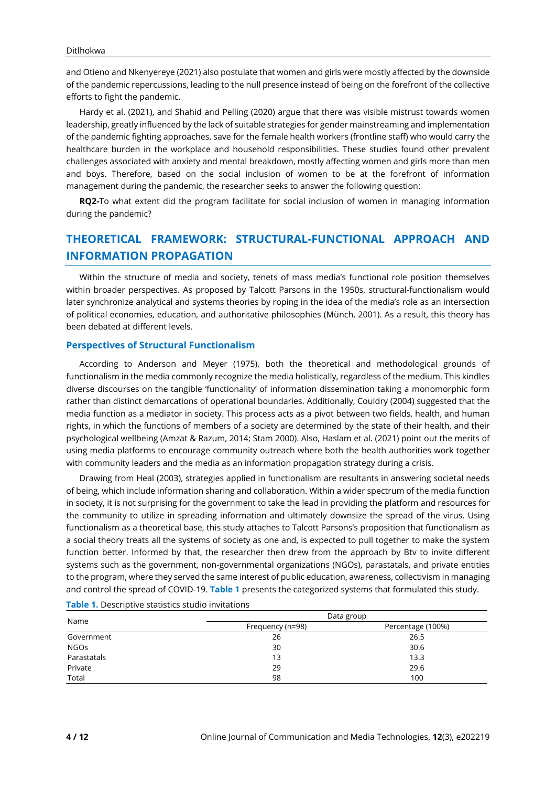and Otieno and Nkenyereye (2021) also postulate that women and girls were mostly affected by the downside of the pandemic repercussions, leading to the null presence instead of being on the forefront of the collective efforts to fight the pandemic.

Hardy et al. (2021), and Shahid and Pelling (2020) argue that there was visible mistrust towards women leadership, greatly influenced by the lack of suitable strategies for gender mainstreaming and implementation of the pandemic fighting approaches, save for the female health workers (frontline staff) who would carry the healthcare burden in the workplace and household responsibilities. These studies found other prevalent challenges associated with anxiety and mental breakdown, mostly affecting women and girls more than men and boys. Therefore, based on the social inclusion of women to be at the forefront of information management during the pandemic, the researcher seeks to answer the following question:

**RQ2-**To what extent did the program facilitate for social inclusion of women in managing information during the pandemic?

## **THEORETICAL FRAMEWORK: STRUCTURAL-FUNCTIONAL APPROACH AND INFORMATION PROPAGATION**

Within the structure of media and society, tenets of mass media's functional role position themselves within broader perspectives. As proposed by Talcott Parsons in the 1950s, structural-functionalism would later synchronize analytical and systems theories by roping in the idea of the media's role as an intersection of political economies, education, and authoritative philosophies (Münch, 2001). As a result, this theory has been debated at different levels.

#### **Perspectives of Structural Functionalism**

According to Anderson and Meyer (1975), both the theoretical and methodological grounds of functionalism in the media commonly recognize the media holistically, regardless of the medium. This kindles diverse discourses on the tangible 'functionality' of information dissemination taking a monomorphic form rather than distinct demarcations of operational boundaries. Additionally, Couldry (2004) suggested that the media function as a mediator in society. This process acts as a pivot between two fields, health, and human rights, in which the functions of members of a society are determined by the state of their health, and their psychological wellbeing (Amzat & Razum, 2014; Stam 2000). Also, Haslam et al. (2021) point out the merits of using media platforms to encourage community outreach where both the health authorities work together with community leaders and the media as an information propagation strategy during a crisis.

Drawing from Heal (2003), strategies applied in functionalism are resultants in answering societal needs of being, which include information sharing and collaboration. Within a wider spectrum of the media function in society, it is not surprising for the government to take the lead in providing the platform and resources for the community to utilize in spreading information and ultimately downsize the spread of the virus. Using functionalism as a theoretical base, this study attaches to Talcott Parsons's proposition that functionalism as a social theory treats all the systems of society as one and, is expected to pull together to make the system function better. Informed by that, the researcher then drew from the approach by Btv to invite different systems such as the government, non-governmental organizations (NGOs), parastatals, and private entities to the program, where they served the same interest of public education, awareness, collectivism in managing and control the spread of COVID-19. **Table 1** presents the categorized systems that formulated this study.

| Name        | Data group       |                   |
|-------------|------------------|-------------------|
|             | Frequency (n=98) | Percentage (100%) |
| Government  | 26               | 26.5              |
| <b>NGOs</b> | 30               | 30.6              |
| Parastatals | 13               | 13.3              |
| Private     | 29               | 29.6              |
| Total       | 98               | 100               |

**Table 1.** Descriptive statistics studio invitations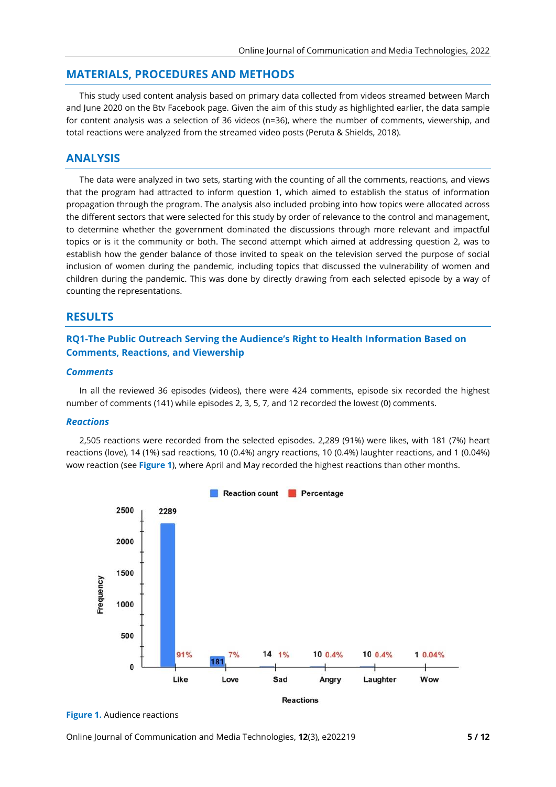#### **MATERIALS, PROCEDURES AND METHODS**

This study used content analysis based on primary data collected from videos streamed between March and June 2020 on the Btv Facebook page. Given the aim of this study as highlighted earlier, the data sample for content analysis was a selection of 36 videos (n=36), where the number of comments, viewership, and total reactions were analyzed from the streamed video posts (Peruta & Shields, 2018).

## **ANALYSIS**

The data were analyzed in two sets, starting with the counting of all the comments, reactions, and views that the program had attracted to inform question 1, which aimed to establish the status of information propagation through the program. The analysis also included probing into how topics were allocated across the different sectors that were selected for this study by order of relevance to the control and management, to determine whether the government dominated the discussions through more relevant and impactful topics or is it the community or both. The second attempt which aimed at addressing question 2, was to establish how the gender balance of those invited to speak on the television served the purpose of social inclusion of women during the pandemic, including topics that discussed the vulnerability of women and children during the pandemic. This was done by directly drawing from each selected episode by a way of counting the representations.

## **RESULTS**

## **RQ1-The Public Outreach Serving the Audience's Right to Health Information Based on Comments, Reactions, and Viewership**

#### *Comments*

In all the reviewed 36 episodes (videos), there were 424 comments, episode six recorded the highest number of comments (141) while episodes 2, 3, 5, 7, and 12 recorded the lowest (0) comments.

#### *Reactions*

2,505 reactions were recorded from the selected episodes. 2,289 (91%) were likes, with 181 (7%) heart reactions (love), 14 (1%) sad reactions, 10 (0.4%) angry reactions, 10 (0.4%) laughter reactions, and 1 (0.04%) wow reaction (see **Figure 1**), where April and May recorded the highest reactions than other months.



**Figure 1.** Audience reactions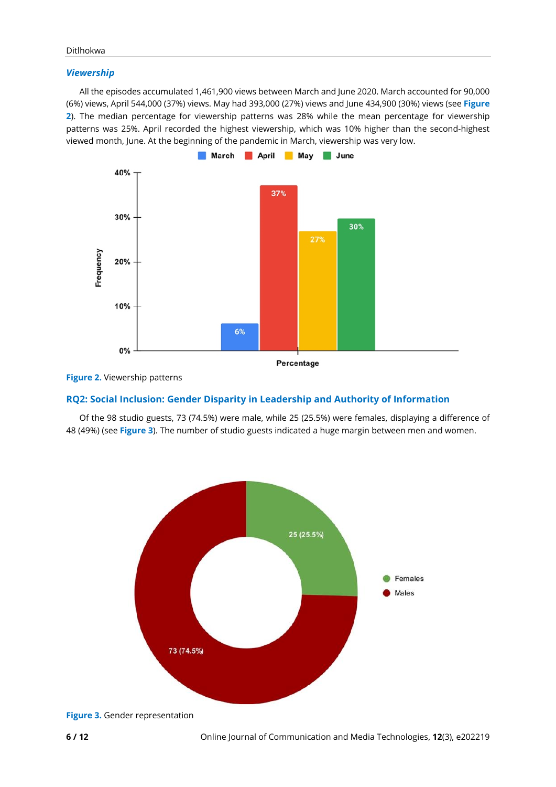#### *Viewership*

All the episodes accumulated 1,461,900 views between March and June 2020. March accounted for 90,000 (6%) views, April 544,000 (37%) views. May had 393,000 (27%) views and June 434,900 (30%) views (see **Figure 2**). The median percentage for viewership patterns was 28% while the mean percentage for viewership patterns was 25%. April recorded the highest viewership, which was 10% higher than the second-highest viewed month, June. At the beginning of the pandemic in March, viewership was very low.





## **RQ2: Social Inclusion: Gender Disparity in Leadership and Authority of Information**

Of the 98 studio guests, 73 (74.5%) were male, while 25 (25.5%) were females, displaying a difference of 48 (49%) (see **Figure 3**). The number of studio guests indicated a huge margin between men and women.



**Figure 3.** Gender representation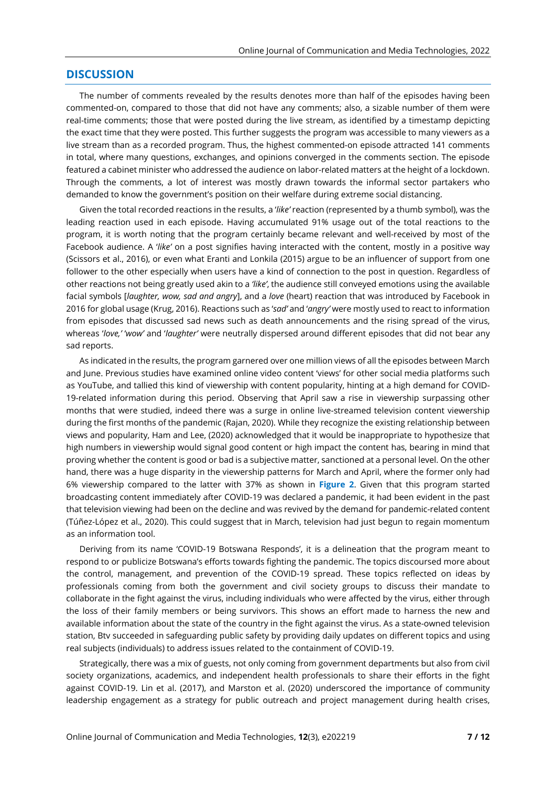## **DISCUSSION**

The number of comments revealed by the results denotes more than half of the episodes having been commented-on, compared to those that did not have any comments; also, a sizable number of them were real-time comments; those that were posted during the live stream, as identified by a timestamp depicting the exact time that they were posted. This further suggests the program was accessible to many viewers as a live stream than as a recorded program. Thus, the highest commented-on episode attracted 141 comments in total, where many questions, exchanges, and opinions converged in the comments section. The episode featured a cabinet minister who addressed the audience on labor-related matters at the height of a lockdown. Through the comments, a lot of interest was mostly drawn towards the informal sector partakers who demanded to know the government's position on their welfare during extreme social distancing.

Given the total recorded reactions in the results, a '*like'* reaction (represented by a thumb symbol), was the leading reaction used in each episode. Having accumulated 91% usage out of the total reactions to the program, it is worth noting that the program certainly became relevant and well-received by most of the Facebook audience. A '*like'* on a post signifies having interacted with the content, mostly in a positive way (Scissors et al., 2016), or even what Eranti and Lonkila (2015) argue to be an influencer of support from one follower to the other especially when users have a kind of connection to the post in question. Regardless of other reactions not being greatly used akin to a *'like'*, the audience still conveyed emotions using the available facial symbols [*laughter, wow, sad and angry*], and a *love* (heart) reaction that was introduced by Facebook in 2016 for global usage (Krug, 2016). Reactions such as '*sad'* and '*angry'* were mostly used to react to information from episodes that discussed sad news such as death announcements and the rising spread of the virus, whereas '*love,'* '*wow'* and '*laughter'* were neutrally dispersed around different episodes that did not bear any sad reports.

As indicated in the results, the program garnered over one million views of all the episodes between March and June. Previous studies have examined online video content 'views' for other social media platforms such as YouTube, and tallied this kind of viewership with content popularity, hinting at a high demand for COVID-19-related information during this period. Observing that April saw a rise in viewership surpassing other months that were studied, indeed there was a surge in online live-streamed television content viewership during the first months of the pandemic (Rajan, 2020). While they recognize the existing relationship between views and popularity, Ham and Lee, (2020) acknowledged that it would be inappropriate to hypothesize that high numbers in viewership would signal good content or high impact the content has, bearing in mind that proving whether the content is good or bad is a subjective matter, sanctioned at a personal level. On the other hand, there was a huge disparity in the viewership patterns for March and April, where the former only had 6% viewership compared to the latter with 37% as shown in **Figure 2**. Given that this program started broadcasting content immediately after COVID-19 was declared a pandemic, it had been evident in the past that television viewing had been on the decline and was revived by the demand for pandemic-related content (Túñez-López et al., 2020). This could suggest that in March, television had just begun to regain momentum as an information tool.

Deriving from its name 'COVID-19 Botswana Responds', it is a delineation that the program meant to respond to or publicize Botswana's efforts towards fighting the pandemic. The topics discoursed more about the control, management, and prevention of the COVID-19 spread. These topics reflected on ideas by professionals coming from both the government and civil society groups to discuss their mandate to collaborate in the fight against the virus, including individuals who were affected by the virus, either through the loss of their family members or being survivors. This shows an effort made to harness the new and available information about the state of the country in the fight against the virus. As a state-owned television station, Btv succeeded in safeguarding public safety by providing daily updates on different topics and using real subjects (individuals) to address issues related to the containment of COVID-19.

Strategically, there was a mix of guests, not only coming from government departments but also from civil society organizations, academics, and independent health professionals to share their efforts in the fight against COVID-19. Lin et al. (2017), and Marston et al. (2020) underscored the importance of community leadership engagement as a strategy for public outreach and project management during health crises,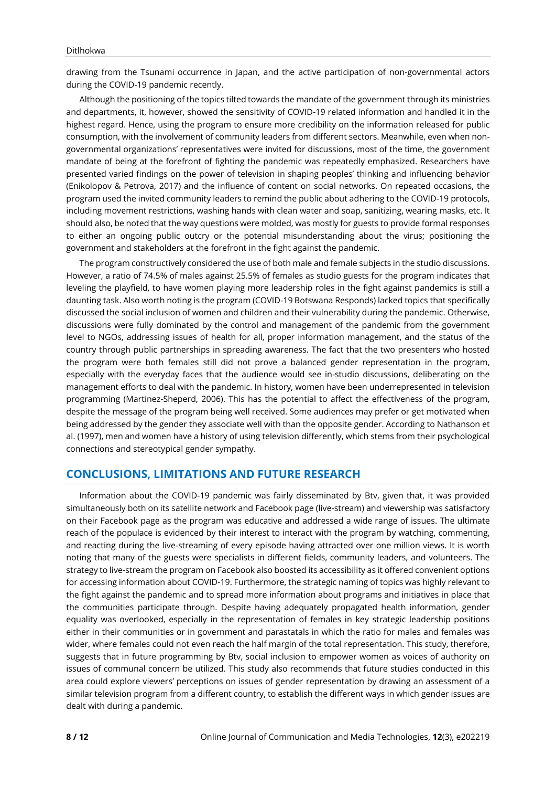drawing from the Tsunami occurrence in Japan, and the active participation of non-governmental actors during the COVID-19 pandemic recently.

Although the positioning of the topics tilted towards the mandate of the government through its ministries and departments, it, however, showed the sensitivity of COVID-19 related information and handled it in the highest regard. Hence, using the program to ensure more credibility on the information released for public consumption, with the involvement of community leaders from different sectors. Meanwhile, even when nongovernmental organizations' representatives were invited for discussions, most of the time, the government mandate of being at the forefront of fighting the pandemic was repeatedly emphasized. Researchers have presented varied findings on the power of television in shaping peoples' thinking and influencing behavior (Enikolopov & Petrova, 2017) and the influence of content on social networks. On repeated occasions, the program used the invited community leaders to remind the public about adhering to the COVID-19 protocols, including movement restrictions, washing hands with clean water and soap, sanitizing, wearing masks, etc. It should also, be noted that the way questions were molded, was mostly for guests to provide formal responses to either an ongoing public outcry or the potential misunderstanding about the virus; positioning the government and stakeholders at the forefront in the fight against the pandemic.

The program constructively considered the use of both male and female subjects in the studio discussions. However, a ratio of 74.5% of males against 25.5% of females as studio guests for the program indicates that leveling the playfield, to have women playing more leadership roles in the fight against pandemics is still a daunting task. Also worth noting is the program (COVID-19 Botswana Responds) lacked topics that specifically discussed the social inclusion of women and children and their vulnerability during the pandemic. Otherwise, discussions were fully dominated by the control and management of the pandemic from the government level to NGOs, addressing issues of health for all, proper information management, and the status of the country through public partnerships in spreading awareness. The fact that the two presenters who hosted the program were both females still did not prove a balanced gender representation in the program, especially with the everyday faces that the audience would see in-studio discussions, deliberating on the management efforts to deal with the pandemic. In history, women have been underrepresented in television programming (Martinez-Sheperd, 2006). This has the potential to affect the effectiveness of the program, despite the message of the program being well received. Some audiences may prefer or get motivated when being addressed by the gender they associate well with than the opposite gender. According to Nathanson et al. (1997), men and women have a history of using television differently, which stems from their psychological connections and stereotypical gender sympathy.

## **CONCLUSIONS, LIMITATIONS AND FUTURE RESEARCH**

Information about the COVID-19 pandemic was fairly disseminated by Btv, given that, it was provided simultaneously both on its satellite network and Facebook page (live-stream) and viewership was satisfactory on their Facebook page as the program was educative and addressed a wide range of issues. The ultimate reach of the populace is evidenced by their interest to interact with the program by watching, commenting, and reacting during the live-streaming of every episode having attracted over one million views. It is worth noting that many of the guests were specialists in different fields, community leaders, and volunteers. The strategy to live-stream the program on Facebook also boosted its accessibility as it offered convenient options for accessing information about COVID-19. Furthermore, the strategic naming of topics was highly relevant to the fight against the pandemic and to spread more information about programs and initiatives in place that the communities participate through. Despite having adequately propagated health information, gender equality was overlooked, especially in the representation of females in key strategic leadership positions either in their communities or in government and parastatals in which the ratio for males and females was wider, where females could not even reach the half margin of the total representation. This study, therefore, suggests that in future programming by Btv, social inclusion to empower women as voices of authority on issues of communal concern be utilized. This study also recommends that future studies conducted in this area could explore viewers' perceptions on issues of gender representation by drawing an assessment of a similar television program from a different country, to establish the different ways in which gender issues are dealt with during a pandemic.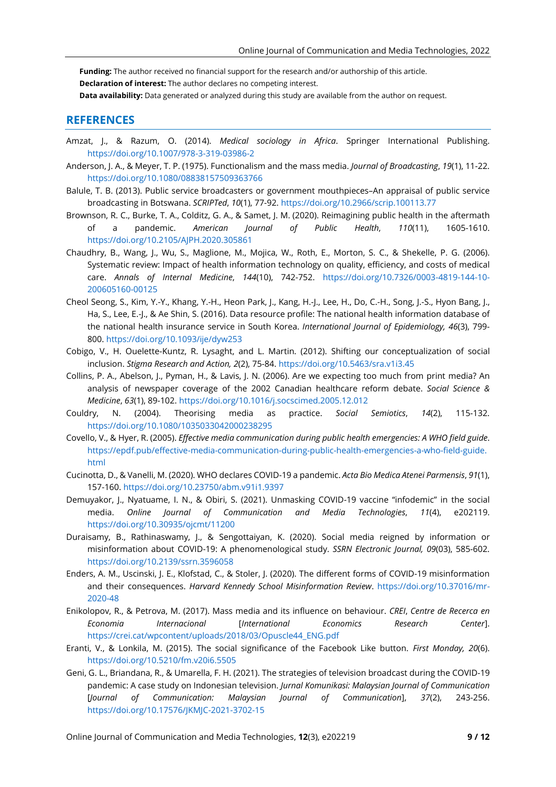**Funding:** The author received no financial support for the research and/or authorship of this article.

**Declaration of interest:** The author declares no competing interest.

**Data availability:** Data generated or analyzed during this study are available from the author on request.

## **REFERENCES**

- Amzat, J., & Razum, O. (2014). *Medical sociology in Africa*. Springer International Publishing. <https://doi.org/10.1007/978-3-319-03986-2>
- Anderson, J. A., & Meyer, T. P. (1975). Functionalism and the mass media. *Journal of Broadcasting*, *19*(1), 11-22. <https://doi.org/10.1080/08838157509363766>
- Balule, T. B. (2013). Public service broadcasters or government mouthpieces–An appraisal of public service broadcasting in Botswana. *SCRIPTed*, *10*(1), 77-92. <https://doi.org/10.2966/scrip.100113.77>
- Brownson, R. C., Burke, T. A., Colditz, G. A., & Samet, J. M. (2020). Reimagining public health in the aftermath of a pandemic. *American Journal of Public Health*, *110*(11), 1605-1610. <https://doi.org/10.2105/AJPH.2020.305861>
- Chaudhry, B., Wang, J., Wu, S., Maglione, M., Mojica, W., Roth, E., Morton, S. C., & Shekelle, P. G. (2006). Systematic review: Impact of health information technology on quality, efficiency, and costs of medical care. *Annals of Internal Medicine*, *144*(10), 742-752. [https://doi.org/10.7326/0003-4819-144-10-](https://doi.org/10.7326/0003-4819-144-10-200605160-00125) [200605160-00125](https://doi.org/10.7326/0003-4819-144-10-200605160-00125)
- Cheol Seong, S., Kim, Y.-Y., Khang, Y.-H., Heon Park, J., Kang, H.-J., Lee, H., Do, C.-H., Song, J.-S., Hyon Bang, J., Ha, S., Lee, E.-J., & Ae Shin, S. (2016). Data resource profile: The national health information database of the national health insurance service in South Korea. *International Journal of Epidemiology, 46*(3), 799- 800. <https://doi.org/10.1093/ije/dyw253>
- Cobigo, V., H. Ouelette-Kuntz, R. Lysaght, and L. Martin. (2012). Shifting our conceptualization of social inclusion. *Stigma Research and Action, 2*(2), 75-84. <https://doi.org/10.5463/sra.v1i3.45>
- Collins, P. A., Abelson, J., Pyman, H., & Lavis, J. N. (2006). Are we expecting too much from print media? An analysis of newspaper coverage of the 2002 Canadian healthcare reform debate. *Social Science & Medicine*, *63*(1), 89-102. <https://doi.org/10.1016/j.socscimed.2005.12.012>
- Couldry, N. (2004). Theorising media as practice. *Social Semiotics*, *14*(2), 115-132. <https://doi.org/10.1080/1035033042000238295>
- Covello, V., & Hyer, R. (2005). *Effective media communication during public health emergencies: A WHO field guide*. [https://epdf.pub/effective-media-communication-during-public-health-emergencies-a-who-field-guide.](https://epdf.pub/effective-media-communication-during-public-health-emergencies-a-who-field-guide.html) [html](https://epdf.pub/effective-media-communication-during-public-health-emergencies-a-who-field-guide.html)
- Cucinotta, D., & Vanelli, M. (2020). WHO declares COVID-19 a pandemic. *Acta Bio Medica Atenei Parmensis*, *91*(1), 157-160. <https://doi.org/10.23750/abm.v91i1.9397>
- Demuyakor, J., Nyatuame, I. N., & Obiri, S. (2021). Unmasking COVID-19 vaccine "infodemic" in the social media. *Online Journal of Communication and Media Technologies*, *11*(4), e202119. <https://doi.org/10.30935/ojcmt/11200>
- Duraisamy, B., Rathinaswamy, J., & Sengottaiyan, K. (2020). Social media reigned by information or misinformation about COVID-19: A phenomenological study. *SSRN Electronic Journal, 09*(03), 585-602. <https://doi.org/10.2139/ssrn.3596058>
- Enders, A. M., Uscinski, J. E., Klofstad, C., & Stoler, J. (2020). The different forms of COVID-19 misinformation and their consequences. *Harvard Kennedy School Misinformation Review*. [https://doi.org/10.37016/mr-](https://doi.org/10.37016/mr-2020-48)[2020-48](https://doi.org/10.37016/mr-2020-48)
- Enikolopov, R., & Petrova, M. (2017). Mass media and its influence on behaviour. *CREI*, *Centre de Recerca en Economia Internacional* [*International Economics Research Center*]. [https://crei.cat/wpcontent/uploads/2018/03/Opuscle44\\_ENG.pdf](https://crei.cat/wpcontent/uploads/2018/03/Opuscle44_ENG.pdf)
- Eranti, V., & Lonkila, M. (2015). The social significance of the Facebook Like button. *First Monday, 20*(6). <https://doi.org/10.5210/fm.v20i6.5505>
- Geni, G. L., Briandana, R., & Umarella, F. H. (2021). The strategies of television broadcast during the COVID-19 pandemic: A case study on Indonesian television. *Jurnal Komunikasi: Malaysian Journal of Communication* [*Journal of Communication: Malaysian Journal of Communication*], *37*(2), 243-256. <https://doi.org/10.17576/JKMJC-2021-3702-15>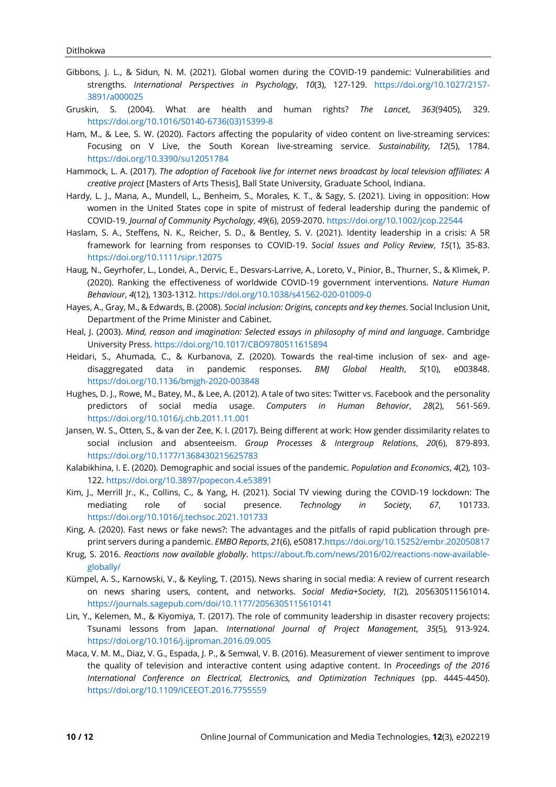- Gibbons, J. L., & Sidun, N. M. (2021). Global women during the COVID-19 pandemic: Vulnerabilities and strengths. *International Perspectives in Psychology*, *10*(3), 127-129. [https://doi.org/10.1027/2157-](https://doi.org/10.1027/2157-3891/a000025) [3891/a000025](https://doi.org/10.1027/2157-3891/a000025)
- Gruskin, S. (2004). What are health and human rights? *The Lancet*, *363*(9405), 329. [https://doi.org/10.1016/S0140-6736\(03\)15399-8](https://doi.org/10.1016/S0140-6736(03)15399-8)
- Ham, M., & Lee, S. W. (2020). Factors affecting the popularity of video content on live-streaming services: Focusing on V Live, the South Korean live-streaming service. *Sustainability, 12*(5), 1784. <https://doi.org/10.3390/su12051784>
- Hammock, L. A. (2017). *The adoption of Facebook live for internet news broadcast by local television affiliates: A creative project* [Masters of Arts Thesis], Ball State University, Graduate School, Indiana.
- Hardy, L. J., Mana, A., Mundell, L., Benheim, S., Morales, K. T., & Sagy, S. (2021). Living in opposition: How women in the United States cope in spite of mistrust of federal leadership during the pandemic of COVID‐19. *Journal of Community Psychology*, *49*(6), 2059-2070. <https://doi.org/10.1002/jcop.22544>
- Haslam, S. A., Steffens, N. K., Reicher, S. D., & Bentley, S. V. (2021). Identity leadership in a crisis: A 5R framework for learning from responses to COVID‐19. *Social Issues and Policy Review*, *15*(1), 35-83. <https://doi.org/10.1111/sipr.12075>
- Haug, N., Geyrhofer, L., Londei, A., Dervic, E., Desvars-Larrive, A., Loreto, V., Pinior, B., Thurner, S., & Klimek, P. (2020). Ranking the effectiveness of worldwide COVID-19 government interventions. *Nature Human Behaviour*, *4*(12), 1303-1312. <https://doi.org/10.1038/s41562-020-01009-0>
- Hayes, A., Gray, M., & Edwards, B. (2008). *Social inclusion: Origins, concepts and key themes*. Social Inclusion Unit, Department of the Prime Minister and Cabinet.
- Heal, J. (2003). *Mind, reason and imagination: Selected essays in philosophy of mind and language*. Cambridge University Press. <https://doi.org/10.1017/CBO9780511615894>
- Heidari, S., Ahumada, C., & Kurbanova, Z. (2020). Towards the real-time inclusion of sex- and agedisaggregated data in pandemic responses. *BMJ Global Health*, *5*(10), e003848. <https://doi.org/10.1136/bmjgh-2020-003848>
- Hughes, D. J., Rowe, M., Batey, M., & Lee, A. (2012). A tale of two sites: Twitter vs. Facebook and the personality predictors of social media usage. *Computers in Human Behavior*, *28*(2), 561-569. <https://doi.org/10.1016/j.chb.2011.11.001>
- Jansen, W. S., Otten, S., & van der Zee, K. I. (2017). Being different at work: How gender dissimilarity relates to social inclusion and absenteeism. *Group Processes & Intergroup Relations*, *20*(6), 879-893. <https://doi.org/10.1177/1368430215625783>
- Kalabikhina, I. E. (2020). Demographic and social issues of the pandemic. *Population and Economics*, *4*(2), 103- 122. <https://doi.org/10.3897/popecon.4.e53891>
- Kim, J., Merrill Jr., K., Collins, C., & Yang, H. (2021). Social TV viewing during the COVID-19 lockdown: The mediating role of social presence. *Technology in Society*, *67*, 101733. <https://doi.org/10.1016/j.techsoc.2021.101733>
- King, A. (2020). Fast news or fake news?: The advantages and the pitfalls of rapid publication through pre‐ print servers during a pandemic. *EMBO Reports*, *21*(6), e5081[7.https://doi.org/10.15252/embr.202050817](https://doi.org/10.15252/embr.202050817)
- Krug, S. 2016. *Reactions now available globally*. [https://about.fb.com/news/2016/02/reactions-now-available](https://about.fb.com/news/2016/02/reactions-now-available-globally/)[globally/](https://about.fb.com/news/2016/02/reactions-now-available-globally/)
- Kümpel, A. S., Karnowski, V., & Keyling, T. (2015). News sharing in social media: A review of current research on news sharing users, content, and networks. *Social Media+Society*, *1*(2), 205630511561014. <https://journals.sagepub.com/doi/10.1177/2056305115610141>
- Lin, Y., Kelemen, M., & Kiyomiya, T. (2017). The role of community leadership in disaster recovery projects: Tsunami lessons from Japan. *International Journal of Project Management*, *35*(5), 913-924. <https://doi.org/10.1016/j.ijproman.2016.09.005>
- Maca, V. M. M., Diaz, V. G., Espada, J. P., & Semwal, V. B. (2016). Measurement of viewer sentiment to improve the quality of television and interactive content using adaptive content. In *Proceedings of the 2016 International Conference on Electrical, Electronics, and Optimization Techniques* (pp. 4445-4450). <https://doi.org/10.1109/ICEEOT.2016.7755559>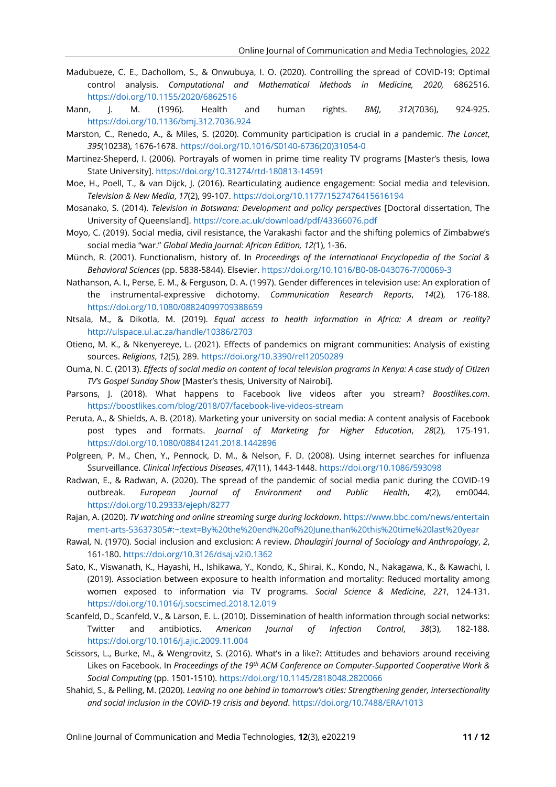- Madubueze, C. E., Dachollom, S., & Onwubuya, I. O. (2020). Controlling the spread of COVID-19: Optimal control analysis. *Computational and Mathematical Methods in Medicine, 2020,* 6862516. <https://doi.org/10.1155/2020/6862516>
- Mann, J. M. (1996). Health and human rights. *BMJ*, *312*(7036), 924-925. <https://doi.org/10.1136/bmj.312.7036.924>
- Marston, C., Renedo, A., & Miles, S. (2020). Community participation is crucial in a pandemic. *The Lancet*, *395*(10238), 1676-1678. [https://doi.org/10.1016/S0140-6736\(20\)31054-0](https://doi.org/10.1016/S0140-6736(20)31054-0)
- Martinez-Sheperd, I. (2006). Portrayals of women in prime time reality TV programs [Master's thesis, Iowa State University]. <https://doi.org/10.31274/rtd-180813-14591>
- Moe, H., Poell, T., & van Dijck, J. (2016). Rearticulating audience engagement: Social media and television. *Television & New Media*, *17*(2), 99-107. <https://doi.org/10.1177/1527476415616194>
- Mosanako, S. (2014). *Television in Botswana: Development and policy perspectives* [Doctoral dissertation, The University of Queensland]. <https://core.ac.uk/download/pdf/43366076.pdf>
- Moyo, C. (2019). Social media, civil resistance, the Varakashi factor and the shifting polemics of Zimbabwe's social media "war." *Global Media Journal: African Edition, 12(*1), 1-36.
- Münch, R. (2001). Functionalism, history of. In *Proceedings of the International Encyclopedia of the Social & Behavioral Sciences* (pp. 5838-5844). Elsevier. <https://doi.org/10.1016/B0-08-043076-7/00069-3>
- Nathanson, A. I., Perse, E. M., & Ferguson, D. A. (1997). Gender differences in television use: An exploration of the instrumental‐expressive dichotomy. *Communication Research Reports*, *14*(2), 176-188. <https://doi.org/10.1080/08824099709388659>
- Ntsala, M., & Dikotla, M. (2019). *Equal access to health information in Africa: A dream or reality?* <http://ulspace.ul.ac.za/handle/10386/2703>
- Otieno, M. K., & Nkenyereye, L. (2021). Effects of pandemics on migrant communities: Analysis of existing sources. *Religions*, *12*(5), 289. <https://doi.org/10.3390/rel12050289>
- Ouma, N. C. (2013). Effects of social media on content of local television programs in Kenya: A case study of Citizen *TV's Gospel Sunday Show* [Master's thesis, University of Nairobi].
- Parsons, J. (2018). What happens to Facebook live videos after you stream? *Boostlikes.com*. <https://boostlikes.com/blog/2018/07/facebook-live-videos-stream>
- Peruta, A., & Shields, A. B. (2018). Marketing your university on social media: A content analysis of Facebook post types and formats. *Journal of Marketing for Higher Education*, *28*(2), 175-191. <https://doi.org/10.1080/08841241.2018.1442896>
- Polgreen, P. M., Chen, Y., Pennock, D. M., & Nelson, F. D. (2008). Using internet searches for influenza Ssurveillance. *Clinical Infectious Diseases*, *47*(11), 1443-1448. <https://doi.org/10.1086/593098>
- Radwan, E., & Radwan, A. (2020). The spread of the pandemic of social media panic during the COVID-19 outbreak. *European Journal of Environment and Public Health*, *4*(2), em0044. <https://doi.org/10.29333/ejeph/8277>
- Rajan, A. (2020). *TV watching and online streaming surge during lockdown*. [https://www.bbc.com/news/entertain](https://www.bbc.com/news/entertainment-arts-53637305#:~:text=By%20the%20end%20of%20June,than%20this%20time%20last%20year) [ment-arts-53637305#:~:text=By%20the%20end%20of%20June,than%20this%20time%20last%20year](https://www.bbc.com/news/entertainment-arts-53637305#:~:text=By%20the%20end%20of%20June,than%20this%20time%20last%20year)
- Rawal, N. (1970). Social inclusion and exclusion: A review. *Dhaulagiri Journal of Sociology and Anthropology*, *2*, 161-180. <https://doi.org/10.3126/dsaj.v2i0.1362>
- Sato, K., Viswanath, K., Hayashi, H., Ishikawa, Y., Kondo, K., Shirai, K., Kondo, N., Nakagawa, K., & Kawachi, I. (2019). Association between exposure to health information and mortality: Reduced mortality among women exposed to information via TV programs. *Social Science & Medicine*, *221*, 124-131. <https://doi.org/10.1016/j.socscimed.2018.12.019>
- Scanfeld, D., Scanfeld, V., & Larson, E. L. (2010). Dissemination of health information through social networks: Twitter and antibiotics. *American Journal of Infection Control*, *38*(3), 182-188. <https://doi.org/10.1016/j.ajic.2009.11.004>
- Scissors, L., Burke, M., & Wengrovitz, S. (2016). What's in a like?: Attitudes and behaviors around receiving Likes on Facebook. In *Proceedings of the 19th ACM Conference on Computer-Supported Cooperative Work & Social Computing* (pp. 1501-1510). <https://doi.org/10.1145/2818048.2820066>
- Shahid, S., & Pelling, M. (2020). *Leaving no one behind in tomorrow's cities: Strengthening gender, intersectionality and social inclusion in the COVID-19 crisis and beyond*. <https://doi.org/10.7488/ERA/1013>